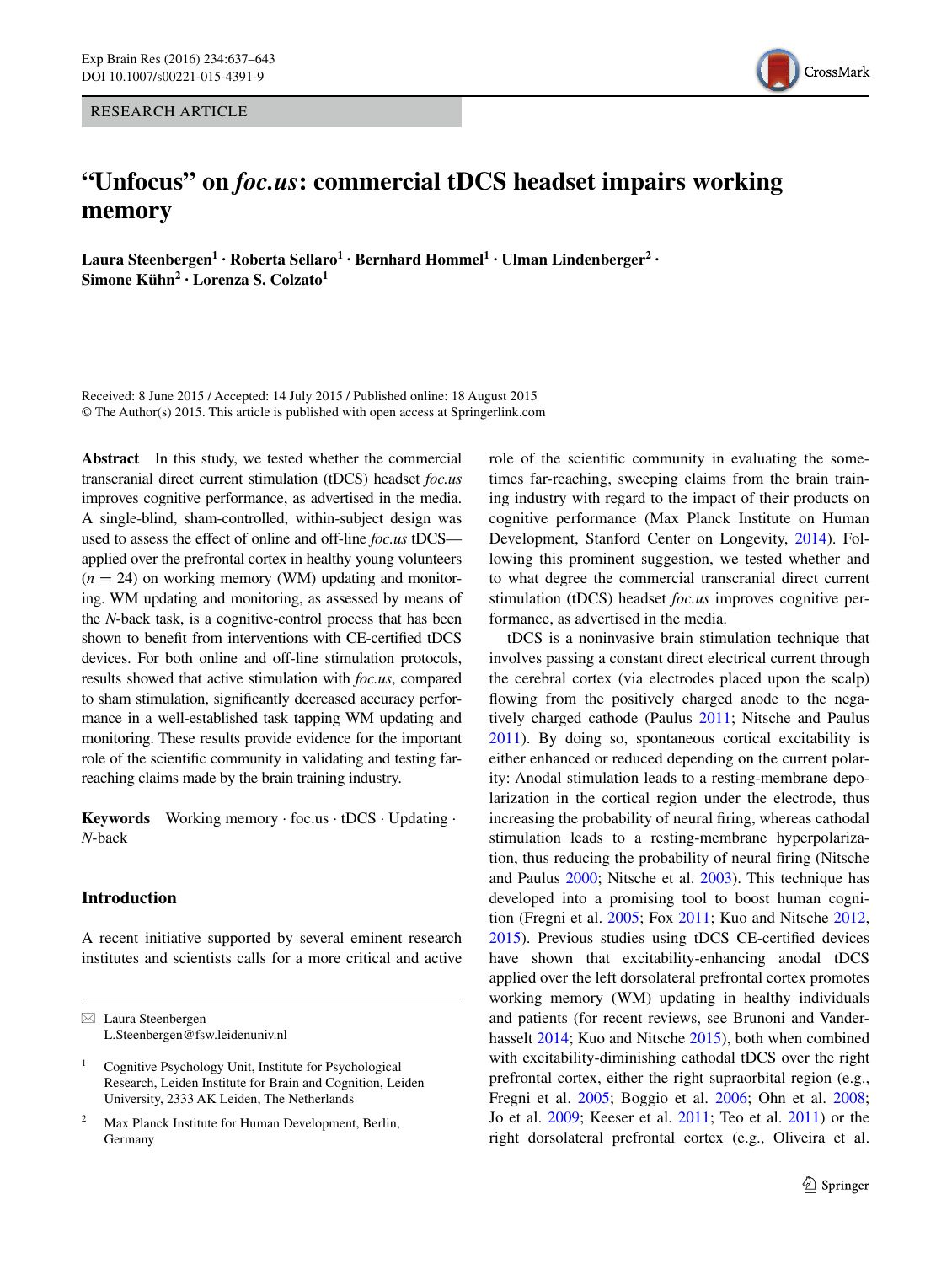RESEARCH ARTICLE

# CrossMark

## **"Unfocus" on** *foc.us***: commercial tDCS headset impairs working memory**

**Laura Steenbergen1 · Roberta Sellaro<sup>1</sup> · Bernhard Hommel1 · Ulman Lindenberger2 · Simone Kühn<sup>2</sup> · Lorenza S. Colzato1**

Received: 8 June 2015 / Accepted: 14 July 2015 / Published online: 18 August 2015 © The Author(s) 2015. This article is published with open access at Springerlink.com

**Abstract** In this study, we tested whether the commercial transcranial direct current stimulation (tDCS) headset *foc.us* improves cognitive performance, as advertised in the media. A single-blind, sham-controlled, within-subject design was used to assess the effect of online and off-line *foc.us* tDCS applied over the prefrontal cortex in healthy young volunteers  $(n = 24)$  on working memory (WM) updating and monitoring. WM updating and monitoring, as assessed by means of the *N*-back task, is a cognitive-control process that has been shown to benefit from interventions with CE-certified tDCS devices. For both online and off-line stimulation protocols, results showed that active stimulation with *foc.us*, compared to sham stimulation, significantly decreased accuracy performance in a well-established task tapping WM updating and monitoring. These results provide evidence for the important role of the scientific community in validating and testing farreaching claims made by the brain training industry.

**Keywords** Working memory · foc.us · tDCS · Updating · *N*-back

### **Introduction**

A recent initiative supported by several eminent research institutes and scientists calls for a more critical and active

role of the scientific community in evaluating the sometimes far-reaching, sweeping claims from the brain training industry with regard to the impact of their products on cognitive performance (Max Planck Institute on Human Development, Stanford Center on Longevity, [2014\)](#page-5-0). Following this prominent suggestion, we tested whether and to what degree the commercial transcranial direct current stimulation (tDCS) headset *foc.us* improves cognitive performance, as advertised in the media.

tDCS is a noninvasive brain stimulation technique that involves passing a constant direct electrical current through the cerebral cortex (via electrodes placed upon the scalp) flowing from the positively charged anode to the negatively charged cathode (Paulus [2011;](#page-5-1) Nitsche and Paulus [2011](#page-5-2)). By doing so, spontaneous cortical excitability is either enhanced or reduced depending on the current polarity: Anodal stimulation leads to a resting-membrane depolarization in the cortical region under the electrode, thus increasing the probability of neural firing, whereas cathodal stimulation leads to a resting-membrane hyperpolarization, thus reducing the probability of neural firing (Nitsche and Paulus [2000](#page-5-3); Nitsche et al. [2003](#page-5-4)). This technique has developed into a promising tool to boost human cognition (Fregni et al. [2005](#page-5-5); Fox [2011;](#page-5-6) Kuo and Nitsche [2012,](#page-5-7) [2015](#page-5-8)). Previous studies using tDCS CE-certified devices have shown that excitability-enhancing anodal tDCS applied over the left dorsolateral prefrontal cortex promotes working memory (WM) updating in healthy individuals and patients (for recent reviews, see Brunoni and Vanderhasselt [2014](#page-5-9); Kuo and Nitsche [2015\)](#page-5-8), both when combined with excitability-diminishing cathodal tDCS over the right prefrontal cortex, either the right supraorbital region (e.g., Fregni et al. [2005;](#page-5-5) Boggio et al. [2006;](#page-5-10) Ohn et al. [2008](#page-5-11); Jo et al. [2009;](#page-5-12) Keeser et al. [2011](#page-5-13); Teo et al. [2011](#page-6-0)) or the right dorsolateral prefrontal cortex (e.g., Oliveira et al.

 $\boxtimes$  Laura Steenbergen L.Steenbergen@fsw.leidenuniv.nl

<sup>&</sup>lt;sup>1</sup> Cognitive Psychology Unit, Institute for Psychological Research, Leiden Institute for Brain and Cognition, Leiden University, 2333 AK Leiden, The Netherlands

<sup>&</sup>lt;sup>2</sup> Max Planck Institute for Human Development, Berlin, Germany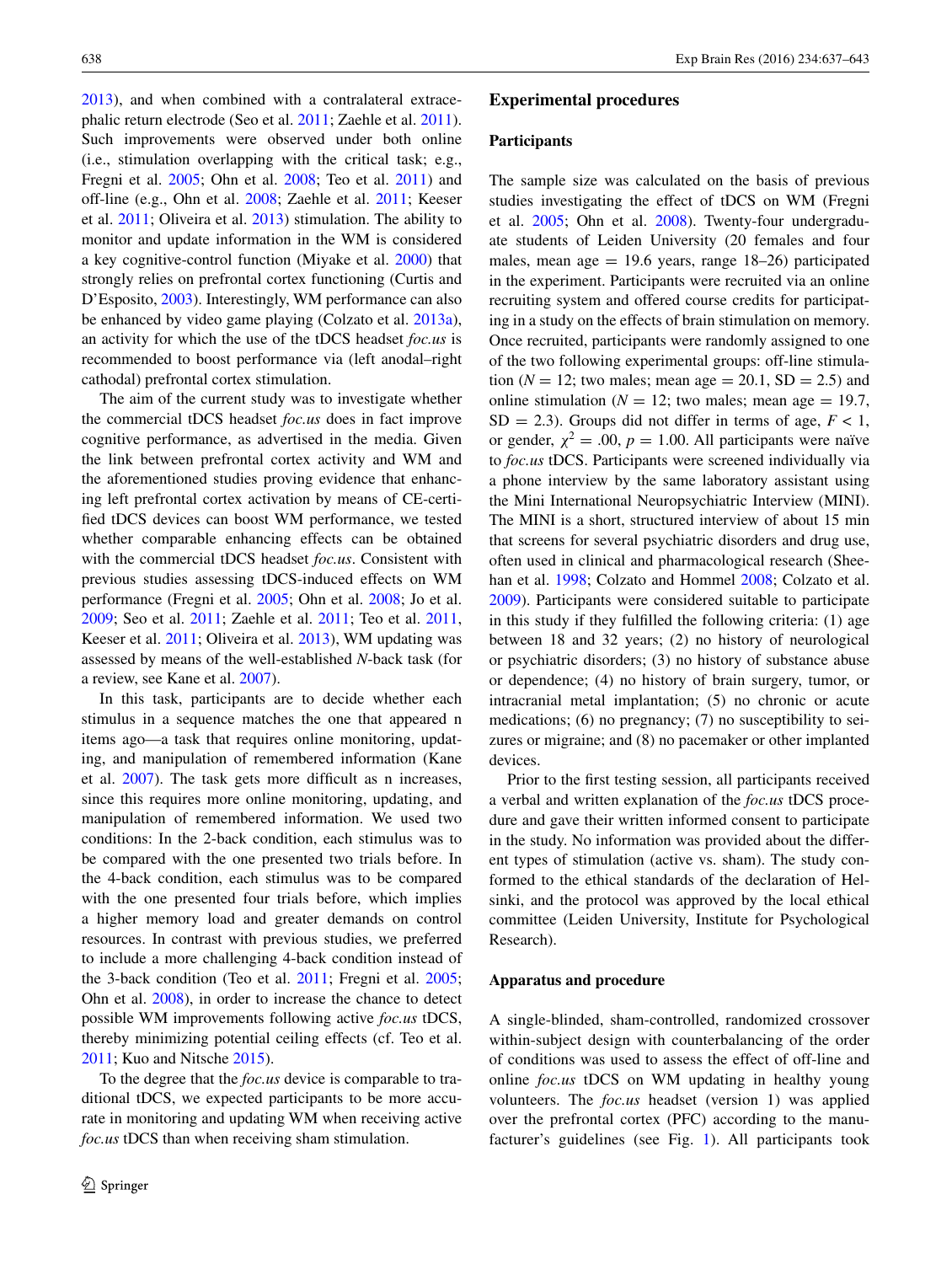[2013](#page-5-14)), and when combined with a contralateral extracephalic return electrode (Seo et al. [2011](#page-6-1); Zaehle et al. [2011](#page-6-2)). Such improvements were observed under both online (i.e., stimulation overlapping with the critical task; e.g., Fregni et al. [2005](#page-5-5); Ohn et al. [2008;](#page-5-11) Teo et al. [2011\)](#page-6-0) and off-line (e.g., Ohn et al. [2008;](#page-5-11) Zaehle et al. [2011](#page-6-2); Keeser et al. [2011;](#page-5-13) Oliveira et al. [2013\)](#page-5-14) stimulation. The ability to monitor and update information in the WM is considered a key cognitive-control function (Miyake et al. [2000](#page-5-15)) that strongly relies on prefrontal cortex functioning (Curtis and D'Esposito, [2003\)](#page-5-16). Interestingly, WM performance can also be enhanced by video game playing (Colzato et al. [2013a](#page-5-17)), an activity for which the use of the tDCS headset *foc.us* is recommended to boost performance via (left anodal–right cathodal) prefrontal cortex stimulation.

The aim of the current study was to investigate whether the commercial tDCS headset *foc.us* does in fact improve cognitive performance, as advertised in the media. Given the link between prefrontal cortex activity and WM and the aforementioned studies proving evidence that enhancing left prefrontal cortex activation by means of CE-certified tDCS devices can boost WM performance, we tested whether comparable enhancing effects can be obtained with the commercial tDCS headset *foc.us*. Consistent with previous studies assessing tDCS-induced effects on WM performance (Fregni et al. [2005;](#page-5-5) Ohn et al. [2008;](#page-5-11) Jo et al. [2009](#page-5-12); Seo et al. [2011;](#page-6-1) Zaehle et al. [2011](#page-6-2); Teo et al. [2011,](#page-6-0) Keeser et al. [2011;](#page-5-13) Oliveira et al. [2013\)](#page-5-14), WM updating was assessed by means of the well-established *N*-back task (for a review, see Kane et al. [2007\)](#page-5-18).

In this task, participants are to decide whether each stimulus in a sequence matches the one that appeared n items ago—a task that requires online monitoring, updating, and manipulation of remembered information (Kane et al. [2007\)](#page-5-18). The task gets more difficult as n increases, since this requires more online monitoring, updating, and manipulation of remembered information. We used two conditions: In the 2-back condition, each stimulus was to be compared with the one presented two trials before. In the 4-back condition, each stimulus was to be compared with the one presented four trials before, which implies a higher memory load and greater demands on control resources. In contrast with previous studies, we preferred to include a more challenging 4-back condition instead of the 3-back condition (Teo et al. [2011;](#page-6-0) Fregni et al. [2005](#page-5-5); Ohn et al. [2008](#page-5-11)), in order to increase the chance to detect possible WM improvements following active *foc.us* tDCS, thereby minimizing potential ceiling effects (cf. Teo et al. [2011](#page-6-0); Kuo and Nitsche [2015\)](#page-5-8).

To the degree that the *foc.us* device is comparable to traditional tDCS, we expected participants to be more accurate in monitoring and updating WM when receiving active *foc.us* tDCS than when receiving sham stimulation.

#### **Experimental procedures**

#### **Participants**

The sample size was calculated on the basis of previous studies investigating the effect of tDCS on WM (Fregni et al. [2005](#page-5-5); Ohn et al. [2008](#page-5-11)). Twenty-four undergraduate students of Leiden University (20 females and four males, mean age  $= 19.6$  years, range 18–26) participated in the experiment. Participants were recruited via an online recruiting system and offered course credits for participating in a study on the effects of brain stimulation on memory. Once recruited, participants were randomly assigned to one of the two following experimental groups: off-line stimulation ( $N = 12$ ; two males; mean age = 20.1, SD = 2.5) and online stimulation ( $N = 12$ ; two males; mean age = 19.7,  $SD = 2.3$ ). Groups did not differ in terms of age,  $F < 1$ , or gender,  $\chi^2 = .00$ ,  $p = 1.00$ . All participants were naïve to *foc.us* tDCS. Participants were screened individually via a phone interview by the same laboratory assistant using the Mini International Neuropsychiatric Interview (MINI). The MINI is a short, structured interview of about 15 min that screens for several psychiatric disorders and drug use, often used in clinical and pharmacological research (Sheehan et al. [1998](#page-6-3); Colzato and Hommel [2008;](#page-5-19) Colzato et al. [2009](#page-5-20)). Participants were considered suitable to participate in this study if they fulfilled the following criteria: (1) age between 18 and 32 years; (2) no history of neurological or psychiatric disorders; (3) no history of substance abuse or dependence; (4) no history of brain surgery, tumor, or intracranial metal implantation; (5) no chronic or acute medications; (6) no pregnancy; (7) no susceptibility to seizures or migraine; and (8) no pacemaker or other implanted devices.

Prior to the first testing session, all participants received a verbal and written explanation of the *foc.us* tDCS procedure and gave their written informed consent to participate in the study. No information was provided about the different types of stimulation (active vs. sham). The study conformed to the ethical standards of the declaration of Helsinki, and the protocol was approved by the local ethical committee (Leiden University, Institute for Psychological Research).

#### **Apparatus and procedure**

A single-blinded, sham-controlled, randomized crossover within-subject design with counterbalancing of the order of conditions was used to assess the effect of off-line and online *foc.us* tDCS on WM updating in healthy young volunteers. The *foc.us* headset (version 1) was applied over the prefrontal cortex (PFC) according to the manufacturer's guidelines (see Fig. [1\)](#page-2-0). All participants took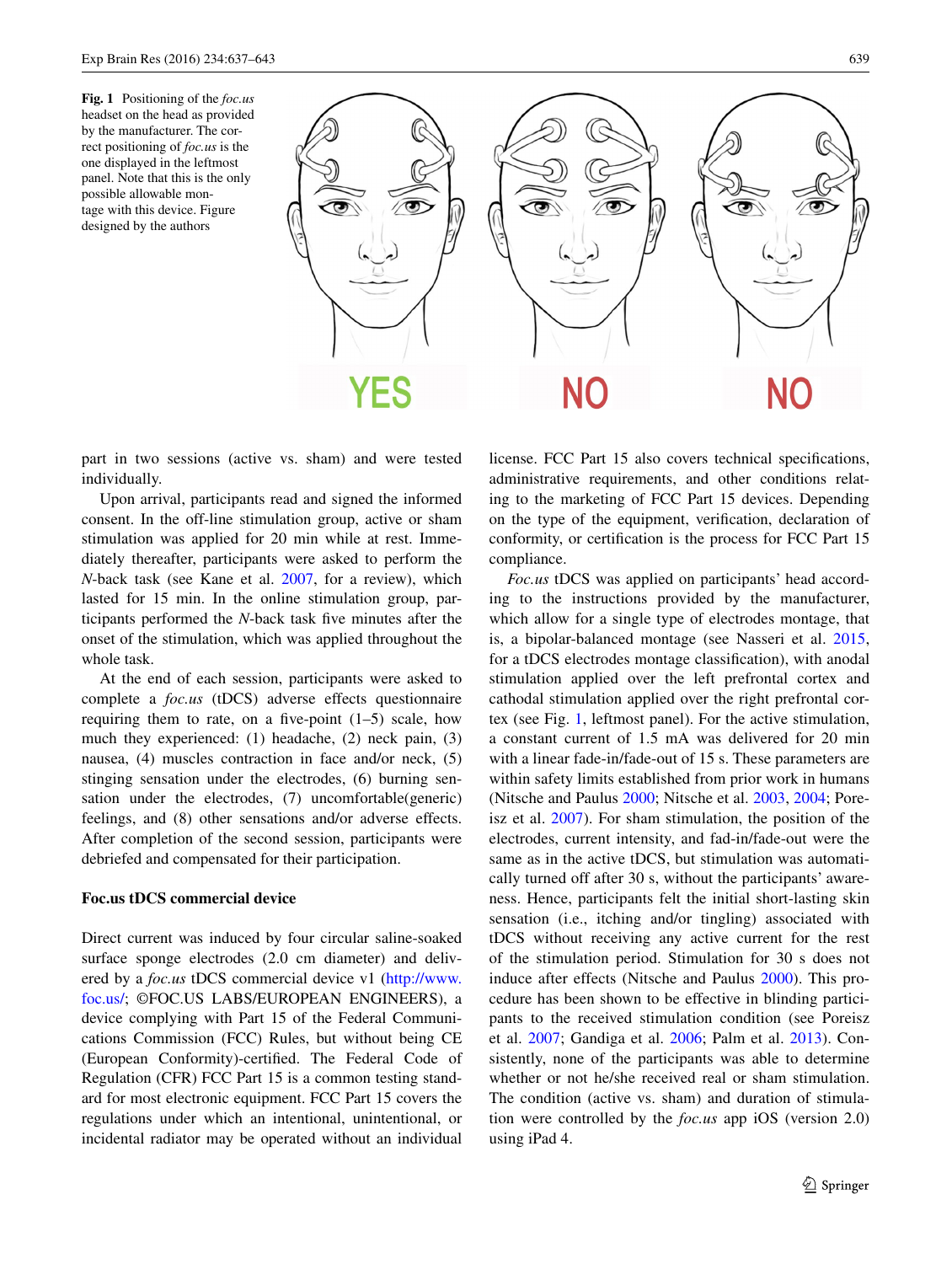<span id="page-2-0"></span>**Fig. 1** Positioning of the *foc.us* headset on the head as provided by the manufacturer. The correct positioning of *foc.us* is the one displayed in the leftmost panel. Note that this is the only possible allowable montage with this device. Figure designed by the authors



part in two sessions (active vs. sham) and were tested individually.

Upon arrival, participants read and signed the informed consent. In the off-line stimulation group, active or sham stimulation was applied for 20 min while at rest. Immediately thereafter, participants were asked to perform the *N*-back task (see Kane et al. [2007](#page-5-18), for a review), which lasted for 15 min. In the online stimulation group, participants performed the *N*-back task five minutes after the onset of the stimulation, which was applied throughout the whole task.

At the end of each session, participants were asked to complete a *foc.us* (tDCS) adverse effects questionnaire requiring them to rate, on a five-point  $(1-5)$  scale, how much they experienced: (1) headache, (2) neck pain, (3) nausea, (4) muscles contraction in face and/or neck, (5) stinging sensation under the electrodes, (6) burning sensation under the electrodes, (7) uncomfortable(generic) feelings, and (8) other sensations and/or adverse effects. After completion of the second session, participants were debriefed and compensated for their participation.

#### **Foc.us tDCS commercial device**

Direct current was induced by four circular saline-soaked surface sponge electrodes (2.0 cm diameter) and delivered by a *foc.us* tDCS commercial device v1 ([http://www.](http://www.foc.us/) [foc.us/;](http://www.foc.us/) ©FOC.US LABS/EUROPEAN ENGINEERS), a device complying with Part 15 of the Federal Communications Commission (FCC) Rules, but without being CE (European Conformity)-certified. The Federal Code of Regulation (CFR) FCC Part 15 is a common testing standard for most electronic equipment. FCC Part 15 covers the regulations under which an intentional, unintentional, or incidental radiator may be operated without an individual

license. FCC Part 15 also covers technical specifications, administrative requirements, and other conditions relating to the marketing of FCC Part 15 devices. Depending on the type of the equipment, verification, declaration of conformity, or certification is the process for FCC Part 15 compliance.

*Foc.us* tDCS was applied on participants' head according to the instructions provided by the manufacturer, which allow for a single type of electrodes montage, that is, a bipolar-balanced montage (see Nasseri et al. [2015,](#page-5-21) for a tDCS electrodes montage classification), with anodal stimulation applied over the left prefrontal cortex and cathodal stimulation applied over the right prefrontal cortex (see Fig. [1,](#page-2-0) leftmost panel). For the active stimulation, a constant current of 1.5 mA was delivered for 20 min with a linear fade-in/fade-out of 15 s. These parameters are within safety limits established from prior work in humans (Nitsche and Paulus [2000;](#page-5-3) Nitsche et al. [2003,](#page-5-22) [2004;](#page-5-23) Poreisz et al. [2007](#page-6-4)). For sham stimulation, the position of the electrodes, current intensity, and fad-in/fade-out were the same as in the active tDCS, but stimulation was automatically turned off after 30 s, without the participants' awareness. Hence, participants felt the initial short-lasting skin sensation (i.e., itching and/or tingling) associated with tDCS without receiving any active current for the rest of the stimulation period. Stimulation for 30 s does not induce after effects (Nitsche and Paulus [2000](#page-5-3)). This procedure has been shown to be effective in blinding participants to the received stimulation condition (see Poreisz et al. [2007;](#page-6-4) Gandiga et al. [2006](#page-5-24); Palm et al. [2013\)](#page-5-25). Consistently, none of the participants was able to determine whether or not he/she received real or sham stimulation. The condition (active vs. sham) and duration of stimulation were controlled by the *foc.us* app iOS (version 2.0) using iPad 4.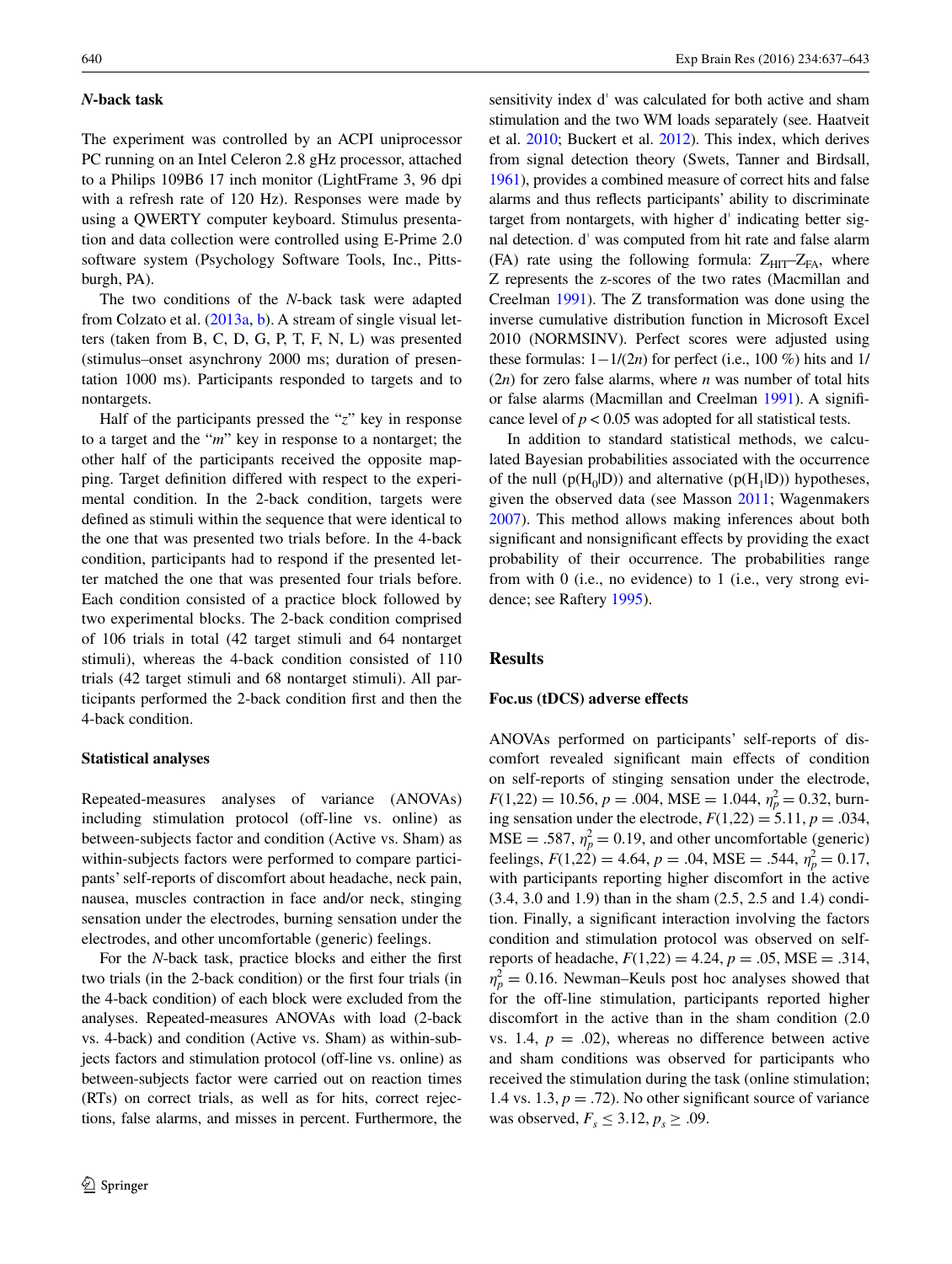#### *N***‑back task**

The experiment was controlled by an ACPI uniprocessor PC running on an Intel Celeron 2.8 gHz processor, attached to a Philips 109B6 17 inch monitor (LightFrame 3, 96 dpi with a refresh rate of 120 Hz). Responses were made by using a QWERTY computer keyboard. Stimulus presentation and data collection were controlled using E-Prime 2.0 software system (Psychology Software Tools, Inc., Pittsburgh, PA).

The two conditions of the *N*-back task were adapted from Colzato et al. ([2013a](#page-5-17), [b\)](#page-5-26). A stream of single visual letters (taken from B, C, D, G, P, T, F, N, L) was presented (stimulus–onset asynchrony 2000 ms; duration of presentation 1000 ms). Participants responded to targets and to nontargets.

Half of the participants pressed the "*z*" key in response to a target and the "*m*" key in response to a nontarget; the other half of the participants received the opposite mapping. Target definition differed with respect to the experimental condition. In the 2-back condition, targets were defined as stimuli within the sequence that were identical to the one that was presented two trials before. In the 4-back condition, participants had to respond if the presented letter matched the one that was presented four trials before. Each condition consisted of a practice block followed by two experimental blocks. The 2-back condition comprised of 106 trials in total (42 target stimuli and 64 nontarget stimuli), whereas the 4-back condition consisted of 110 trials (42 target stimuli and 68 nontarget stimuli). All participants performed the 2-back condition first and then the 4-back condition.

#### **Statistical analyses**

Repeated-measures analyses of variance (ANOVAs) including stimulation protocol (off-line vs. online) as between-subjects factor and condition (Active vs. Sham) as within-subjects factors were performed to compare participants' self-reports of discomfort about headache, neck pain, nausea, muscles contraction in face and/or neck, stinging sensation under the electrodes, burning sensation under the electrodes, and other uncomfortable (generic) feelings.

For the *N*-back task, practice blocks and either the first two trials (in the 2-back condition) or the first four trials (in the 4-back condition) of each block were excluded from the analyses. Repeated-measures ANOVAs with load (2-back vs. 4-back) and condition (Active vs. Sham) as within-subjects factors and stimulation protocol (off-line vs. online) as between-subjects factor were carried out on reaction times (RTs) on correct trials, as well as for hits, correct rejections, false alarms, and misses in percent. Furthermore, the

sensitivity index d' was calculated for both active and sham stimulation and the two WM loads separately (see. Haatveit et al. [2010;](#page-5-27) Buckert et al. [2012](#page-5-28)). This index, which derives from signal detection theory (Swets, Tanner and Birdsall, [1961\)](#page-6-5), provides a combined measure of correct hits and false alarms and thus reflects participants' ability to discriminate target from nontargets, with higher dˈ indicating better signal detection. dˈ was computed from hit rate and false alarm (FA) rate using the following formula:  $Z_{\text{HIT}}-Z_{\text{FA}}$ , where Z represents the z-scores of the two rates (Macmillan and Creelman [1991](#page-5-29)). The Z transformation was done using the inverse cumulative distribution function in Microsoft Excel 2010 (NORMSINV). Perfect scores were adjusted using these formulas:  $1 - 1/(2n)$  for perfect (i.e., 100 %) hits and 1/ (2*n*) for zero false alarms, where *n* was number of total hits or false alarms (Macmillan and Creelman [1991](#page-5-29)). A significance level of  $p < 0.05$  was adopted for all statistical tests.

In addition to standard statistical methods, we calculated Bayesian probabilities associated with the occurrence of the null ( $p(H_0|D)$ ) and alternative ( $p(H_1|D)$ ) hypotheses, given the observed data (see Masson [2011;](#page-5-30) Wagenmakers [2007](#page-6-6)). This method allows making inferences about both significant and nonsignificant effects by providing the exact probability of their occurrence. The probabilities range from with 0 (i.e., no evidence) to 1 (i.e., very strong evidence; see Raftery [1995](#page-6-7)).

#### **Results**

#### **Foc.us (tDCS) adverse effects**

ANOVAs performed on participants' self-reports of discomfort revealed significant main effects of condition on self-reports of stinging sensation under the electrode,  $F(1,22) = 10.56, p = .004, \text{MSE} = 1.044, \eta_p^2 = 0.32, \text{burn}$ ing sensation under the electrode,  $F(1,22) = 5.11$ ,  $p = .034$ ,  $MSE = .587$ ,  $\eta_p^2 = 0.19$ , and other uncomfortable (generic) feelings,  $F(1,22) = 4.64$ ,  $p = .04$ , MSE = .544,  $\eta_p^2 = 0.17$ , with participants reporting higher discomfort in the active (3.4, 3.0 and 1.9) than in the sham (2.5, 2.5 and 1.4) condition. Finally, a significant interaction involving the factors condition and stimulation protocol was observed on selfreports of headache,  $F(1,22) = 4.24$ ,  $p = .05$ , MSE = .314,  $\eta_p^2 = 0.16$ . Newman–Keuls post hoc analyses showed that for the off-line stimulation, participants reported higher discomfort in the active than in the sham condition (2.0 vs. 1.4,  $p = .02$ ), whereas no difference between active and sham conditions was observed for participants who received the stimulation during the task (online stimulation; 1.4 vs. 1.3,  $p = .72$ ). No other significant source of variance was observed,  $F_s \leq 3.12, p_s \geq .09$ .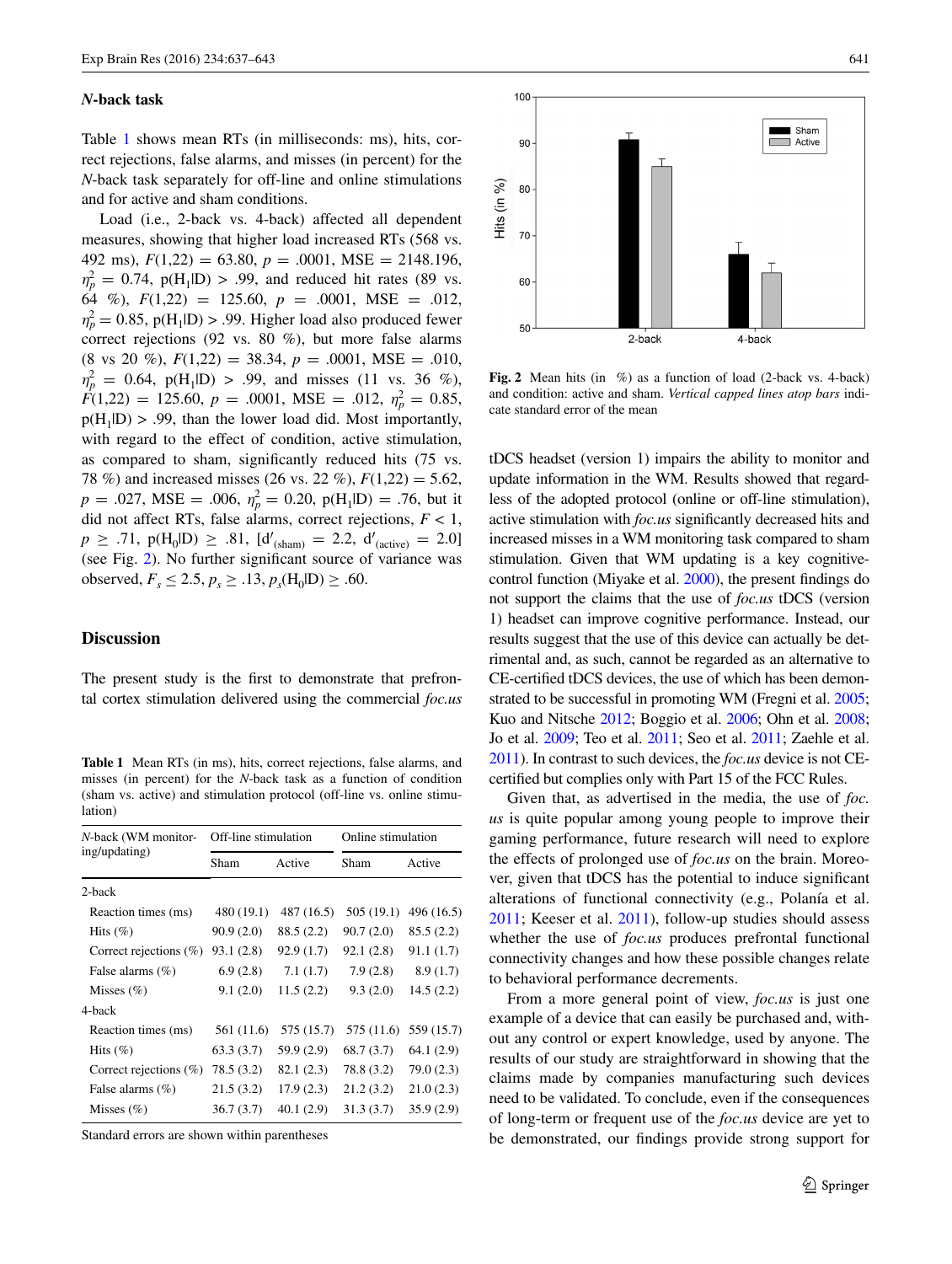#### *N***‑back task**

Table [1](#page-4-0) shows mean RTs (in milliseconds: ms), hits, correct rejections, false alarms, and misses (in percent) for the *N*-back task separately for off-line and online stimulations and for active and sham conditions.

Load (i.e., 2-back vs. 4-back) affected all dependent measures, showing that higher load increased RTs (568 vs. 492 ms),  $F(1,22) = 63.80, p = .0001, \text{MSE} = 2148.196,$  $\eta_p^2 = 0.74$ ,  $p(H_1|D) > .99$ , and reduced hit rates (89 vs. 64 %),  $F(1,22) = 125.60, p = .0001, MSE = .012,$  $\eta_p^2 = 0.85$ ,  $p(H_1|D) > .99$ . Higher load also produced fewer correct rejections (92 vs. 80 %), but more false alarms  $(8 \text{ vs } 20 \%)$ ,  $F(1,22) = 38.34$ ,  $p = .0001$ , MSE = .010,  $\eta_p^2 = 0.64$ ,  $p(H_1|D) > .99$ , and misses (11 vs. 36 %),  $\dot{F}(1,22) = 125.60, p = .0001, \text{MSE} = .012, \eta_p^2 = 0.85,$  $p(H_1|D) > .99$ , than the lower load did. Most importantly, with regard to the effect of condition, active stimulation, as compared to sham, significantly reduced hits (75 vs. 78 %) and increased misses (26 vs. 22 %), *F*(1,22) = 5.62,  $p = .027$ , MSE = .006,  $\eta_p^2 = 0.20$ ,  $p(H_1|D) = .76$ , but it did not affect RTs, false alarms, correct rejections, *F* < 1,  $p \geq .71$ ,  $p(H_0|D) \geq .81$ ,  $[d'_{(sham)} = 2.2, d'_{(active)} = 2.0]$ (see Fig. [2\)](#page-4-1). No further significant source of variance was observed,  $F_s \le 2.5, p_s \ge .13, p_s(H_0|D) \ge .60$ .

#### **Discussion**

The present study is the first to demonstrate that prefrontal cortex stimulation delivered using the commercial *foc.us*

<span id="page-4-0"></span>**Table 1** Mean RTs (in ms), hits, correct rejections, false alarms, and misses (in percent) for the *N*-back task as a function of condition (sham vs. active) and stimulation protocol (off-line vs. online stimulation)

| <i>N</i> -back (WM monitor-<br>ing/updating) | Off-line stimulation |            | Online stimulation |            |
|----------------------------------------------|----------------------|------------|--------------------|------------|
|                                              | Sham                 | Active     | Sham               | Active     |
| 2-back                                       |                      |            |                    |            |
| Reaction times (ms)                          | 480 (19.1)           | 487 (16.5) | 505(19.1)          | 496 (16.5) |
| Hits $(\% )$                                 | 90.9(2.0)            | 88.5 (2.2) | 90.7(2.0)          | 85.5(2.2)  |
| Correct rejections $(\% )$                   | 93.1(2.8)            | 92.9(1.7)  | 92.1(2.8)          | 91.1(1.7)  |
| False alarms $(\%)$                          | 6.9(2.8)             | 7.1(1.7)   | 7.9(2.8)           | 8.9(1.7)   |
| Misses $(\% )$                               | 9.1(2.0)             | 11.5(2.2)  | 9.3(2.0)           | 14.5(2.2)  |
| 4-back                                       |                      |            |                    |            |
| Reaction times (ms)                          | 561 (11.6)           | 575 (15.7) | 575 (11.6)         | 559 (15.7) |
| Hits $(\%)$                                  | 63.3 (3.7)           | 59.9 (2.9) | 68.7(3.7)          | 64.1(2.9)  |
| Correct rejections $(\%)$                    | 78.5 (3.2)           | 82.1 (2.3) | 78.8 (3.2)         | 79.0 (2.3) |
| False alarms $(\% )$                         | 21.5(3.2)            | 17.9(2.3)  | 21.2(3.2)          | 21.0(2.3)  |
| Misses $(\% )$                               | 36.7(3.7)            | 40.1 (2.9) | 31.3(3.7)          | 35.9(2.9)  |

Standard errors are shown within parentheses



<span id="page-4-1"></span>**Fig. 2** Mean hits (in %) as a function of load (2-back vs. 4-back) and condition: active and sham. *Vertical capped lines atop bars* indicate standard error of the mean

tDCS headset (version 1) impairs the ability to monitor and update information in the WM. Results showed that regardless of the adopted protocol (online or off-line stimulation), active stimulation with *foc.us* significantly decreased hits and increased misses in a WM monitoring task compared to sham stimulation. Given that WM updating is a key cognitivecontrol function (Miyake et al. [2000](#page-5-15)), the present findings do not support the claims that the use of *foc.us* tDCS (version 1) headset can improve cognitive performance. Instead, our results suggest that the use of this device can actually be detrimental and, as such, cannot be regarded as an alternative to CE-certified tDCS devices, the use of which has been demonstrated to be successful in promoting WM (Fregni et al. [2005](#page-5-5); Kuo and Nitsche [2012;](#page-5-7) Boggio et al. [2006](#page-5-10); Ohn et al. [2008](#page-5-11); Jo et al. [2009;](#page-5-12) Teo et al. [2011](#page-6-0); Seo et al. [2011;](#page-6-1) Zaehle et al. [2011\)](#page-6-2). In contrast to such devices, the *foc.us* device is not CEcertified but complies only with Part 15 of the FCC Rules.

Given that, as advertised in the media, the use of *foc. us* is quite popular among young people to improve their gaming performance, future research will need to explore the effects of prolonged use of *foc.us* on the brain. Moreover, given that tDCS has the potential to induce significant alterations of functional connectivity (e.g., Polanía et al. [2011](#page-6-8); Keeser et al. [2011\)](#page-5-13), follow-up studies should assess whether the use of *foc.us* produces prefrontal functional connectivity changes and how these possible changes relate to behavioral performance decrements.

From a more general point of view, *foc.us* is just one example of a device that can easily be purchased and, without any control or expert knowledge, used by anyone. The results of our study are straightforward in showing that the claims made by companies manufacturing such devices need to be validated. To conclude, even if the consequences of long-term or frequent use of the *foc.us* device are yet to be demonstrated, our findings provide strong support for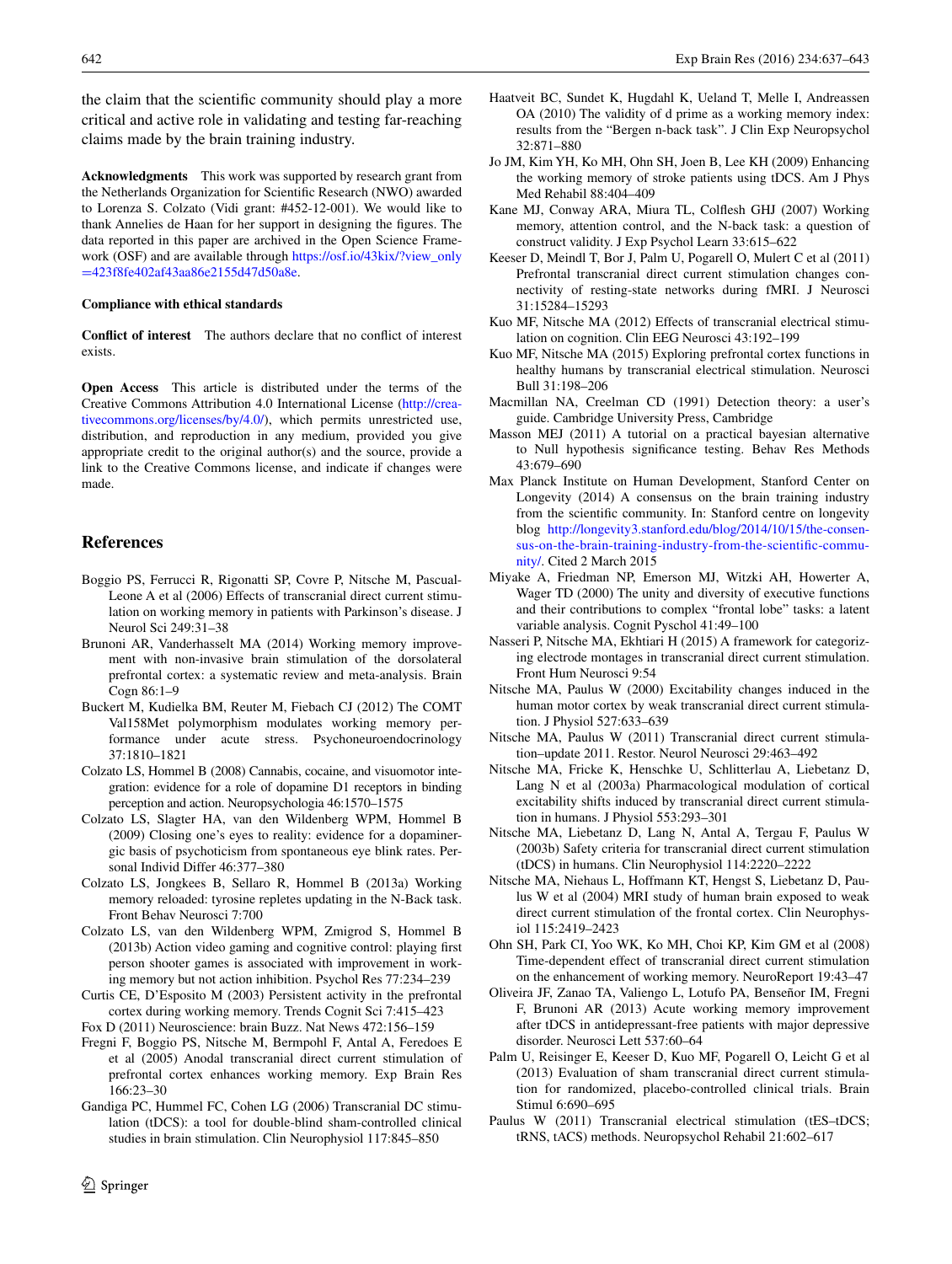the claim that the scientific community should play a more critical and active role in validating and testing far-reaching claims made by the brain training industry.

**Acknowledgments** This work was supported by research grant from the Netherlands Organization for Scientific Research (NWO) awarded to Lorenza S. Colzato (Vidi grant: #452-12-001). We would like to thank Annelies de Haan for her support in designing the figures. The data reported in this paper are archived in the Open Science Framework (OSF) and are available through [https://osf.io/43kix/?view\\_only](https://osf.io/43kix/%3fview_only%3d423f8fe402af43aa86e2155d47d50a8e) =[423f8fe402af43aa86e2155d47d50a8e](https://osf.io/43kix/%3fview_only%3d423f8fe402af43aa86e2155d47d50a8e).

#### **Compliance with ethical standards**

**Conflict of interest** The authors declare that no conflict of interest exists.

**Open Access** This article is distributed under the terms of the Creative Commons Attribution 4.0 International License ([http://crea](http://creativecommons.org/licenses/by/4.0/)[tivecommons.org/licenses/by/4.0/](http://creativecommons.org/licenses/by/4.0/)), which permits unrestricted use, distribution, and reproduction in any medium, provided you give appropriate credit to the original author(s) and the source, provide a link to the Creative Commons license, and indicate if changes were made.

#### **References**

- <span id="page-5-10"></span>Boggio PS, Ferrucci R, Rigonatti SP, Covre P, Nitsche M, Pascual-Leone A et al (2006) Effects of transcranial direct current stimulation on working memory in patients with Parkinson's disease. J Neurol Sci 249:31–38
- <span id="page-5-9"></span>Brunoni AR, Vanderhasselt MA (2014) Working memory improvement with non-invasive brain stimulation of the dorsolateral prefrontal cortex: a systematic review and meta-analysis. Brain Cogn 86:1–9
- <span id="page-5-28"></span>Buckert M, Kudielka BM, Reuter M, Fiebach CJ (2012) The COMT Val158Met polymorphism modulates working memory performance under acute stress. Psychoneuroendocrinology 37:1810–1821
- <span id="page-5-19"></span>Colzato LS, Hommel B (2008) Cannabis, cocaine, and visuomotor integration: evidence for a role of dopamine D1 receptors in binding perception and action. Neuropsychologia 46:1570–1575
- <span id="page-5-20"></span>Colzato LS, Slagter HA, van den Wildenberg WPM, Hommel B (2009) Closing one's eyes to reality: evidence for a dopaminergic basis of psychoticism from spontaneous eye blink rates. Personal Individ Differ 46:377–380
- <span id="page-5-17"></span>Colzato LS, Jongkees B, Sellaro R, Hommel B (2013a) Working memory reloaded: tyrosine repletes updating in the N-Back task. Front Behav Neurosci 7:700
- <span id="page-5-26"></span>Colzato LS, van den Wildenberg WPM, Zmigrod S, Hommel B (2013b) Action video gaming and cognitive control: playing first person shooter games is associated with improvement in working memory but not action inhibition. Psychol Res 77:234–239
- <span id="page-5-16"></span>Curtis CE, D'Esposito M (2003) Persistent activity in the prefrontal cortex during working memory. Trends Cognit Sci 7:415–423
- <span id="page-5-6"></span>Fox D (2011) Neuroscience: brain Buzz. Nat News 472:156–159
- <span id="page-5-5"></span>Fregni F, Boggio PS, Nitsche M, Bermpohl F, Antal A, Feredoes E et al (2005) Anodal transcranial direct current stimulation of prefrontal cortex enhances working memory. Exp Brain Res 166:23–30
- <span id="page-5-24"></span>Gandiga PC, Hummel FC, Cohen LG (2006) Transcranial DC stimulation (tDCS): a tool for double-blind sham-controlled clinical studies in brain stimulation. Clin Neurophysiol 117:845–850
- <span id="page-5-27"></span>Haatveit BC, Sundet K, Hugdahl K, Ueland T, Melle I, Andreassen OA (2010) The validity of d prime as a working memory index: results from the "Bergen n-back task". J Clin Exp Neuropsychol 32:871–880
- <span id="page-5-12"></span>Jo JM, Kim YH, Ko MH, Ohn SH, Joen B, Lee KH (2009) Enhancing the working memory of stroke patients using tDCS. Am J Phys Med Rehabil 88:404–409
- <span id="page-5-18"></span>Kane MJ, Conway ARA, Miura TL, Colflesh GHJ (2007) Working memory, attention control, and the N-back task: a question of construct validity. J Exp Psychol Learn 33:615–622
- <span id="page-5-13"></span>Keeser D, Meindl T, Bor J, Palm U, Pogarell O, Mulert C et al (2011) Prefrontal transcranial direct current stimulation changes connectivity of resting-state networks during fMRI. J Neurosci 31:15284–15293
- <span id="page-5-7"></span>Kuo MF, Nitsche MA (2012) Effects of transcranial electrical stimulation on cognition. Clin EEG Neurosci 43:192–199
- <span id="page-5-8"></span>Kuo MF, Nitsche MA (2015) Exploring prefrontal cortex functions in healthy humans by transcranial electrical stimulation. Neurosci Bull 31:198–206
- <span id="page-5-29"></span>Macmillan NA, Creelman CD (1991) Detection theory: a user's guide. Cambridge University Press, Cambridge
- <span id="page-5-30"></span>Masson MEJ (2011) A tutorial on a practical bayesian alternative to Null hypothesis significance testing. Behav Res Methods 43:679–690
- <span id="page-5-0"></span>Max Planck Institute on Human Development, Stanford Center on Longevity (2014) A consensus on the brain training industry from the scientific community. In: Stanford centre on longevity blog [http://longevity3.stanford.edu/blog/2014/10/15/the-consen](http://longevity3.stanford.edu/blog/2014/10/15/the-consensus-on-the-brain-training-industry-from-the-scientific-community/)[sus-on-the-brain-training-industry-from-the-scientific-commu](http://longevity3.stanford.edu/blog/2014/10/15/the-consensus-on-the-brain-training-industry-from-the-scientific-community/)[nity/.](http://longevity3.stanford.edu/blog/2014/10/15/the-consensus-on-the-brain-training-industry-from-the-scientific-community/) Cited 2 March 2015
- <span id="page-5-15"></span>Miyake A, Friedman NP, Emerson MJ, Witzki AH, Howerter A, Wager TD (2000) The unity and diversity of executive functions and their contributions to complex "frontal lobe" tasks: a latent variable analysis. Cognit Pyschol 41:49–100
- <span id="page-5-21"></span>Nasseri P, Nitsche MA, Ekhtiari H (2015) A framework for categorizing electrode montages in transcranial direct current stimulation. Front Hum Neurosci 9:54
- <span id="page-5-3"></span>Nitsche MA, Paulus W (2000) Excitability changes induced in the human motor cortex by weak transcranial direct current stimulation. J Physiol 527:633–639
- <span id="page-5-2"></span>Nitsche MA, Paulus W (2011) Transcranial direct current stimulation–update 2011. Restor. Neurol Neurosci 29:463–492
- <span id="page-5-4"></span>Nitsche MA, Fricke K, Henschke U, Schlitterlau A, Liebetanz D, Lang N et al (2003a) Pharmacological modulation of cortical excitability shifts induced by transcranial direct current stimulation in humans. J Physiol 553:293–301
- <span id="page-5-22"></span>Nitsche MA, Liebetanz D, Lang N, Antal A, Tergau F, Paulus W (2003b) Safety criteria for transcranial direct current stimulation (tDCS) in humans. Clin Neurophysiol 114:2220–2222
- <span id="page-5-23"></span>Nitsche MA, Niehaus L, Hoffmann KT, Hengst S, Liebetanz D, Paulus W et al (2004) MRI study of human brain exposed to weak direct current stimulation of the frontal cortex. Clin Neurophysiol 115:2419–2423
- <span id="page-5-11"></span>Ohn SH, Park CI, Yoo WK, Ko MH, Choi KP, Kim GM et al (2008) Time-dependent effect of transcranial direct current stimulation on the enhancement of working memory. NeuroReport 19:43–47
- <span id="page-5-14"></span>Oliveira JF, Zanao TA, Valiengo L, Lotufo PA, Benseñor IM, Fregni F, Brunoni AR (2013) Acute working memory improvement after tDCS in antidepressant-free patients with major depressive disorder. Neurosci Lett 537:60–64
- <span id="page-5-25"></span>Palm U, Reisinger E, Keeser D, Kuo MF, Pogarell O, Leicht G et al (2013) Evaluation of sham transcranial direct current stimulation for randomized, placebo-controlled clinical trials. Brain Stimul 6:690–695
- <span id="page-5-1"></span>Paulus W (2011) Transcranial electrical stimulation (tES–tDCS; tRNS, tACS) methods. Neuropsychol Rehabil 21:602–617